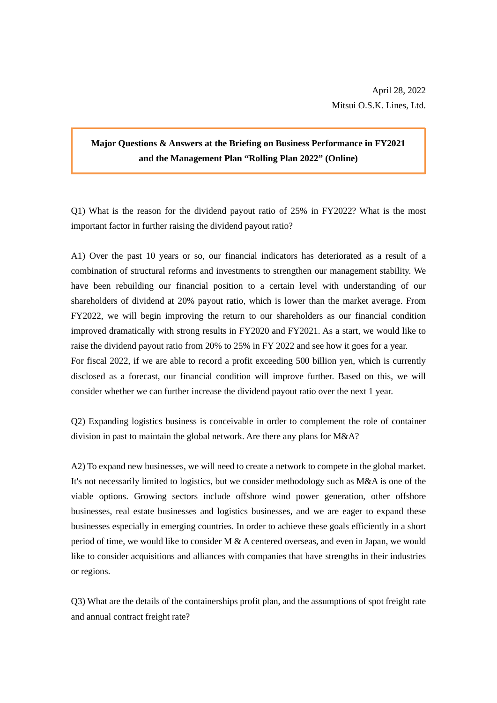## **Major Questions & Answers at the Briefing on Business Performance in FY2021 and the Management Plan "Rolling Plan 2022" (Online)**

Q1) What is the reason for the dividend payout ratio of 25% in FY2022? What is the most important factor in further raising the dividend payout ratio?

A1) Over the past 10 years or so, our financial indicators has deteriorated as a result of a combination of structural reforms and investments to strengthen our management stability. We have been rebuilding our financial position to a certain level with understanding of our shareholders of dividend at 20% payout ratio, which is lower than the market average. From FY2022, we will begin improving the return to our shareholders as our financial condition improved dramatically with strong results in FY2020 and FY2021. As a start, we would like to raise the dividend payout ratio from 20% to 25% in FY 2022 and see how it goes for a year. For fiscal 2022, if we are able to record a profit exceeding 500 billion yen, which is currently disclosed as a forecast, our financial condition will improve further. Based on this, we will consider whether we can further increase the dividend payout ratio over the next 1 year.

Q2) Expanding logistics business is conceivable in order to complement the role of container division in past to maintain the global network. Are there any plans for M&A?

A2) To expand new businesses, we will need to create a network to compete in the global market. It's not necessarily limited to logistics, but we consider methodology such as M&A is one of the viable options. Growing sectors include offshore wind power generation, other offshore businesses, real estate businesses and logistics businesses, and we are eager to expand these businesses especially in emerging countries. In order to achieve these goals efficiently in a short period of time, we would like to consider M & A centered overseas, and even in Japan, we would like to consider acquisitions and alliances with companies that have strengths in their industries or regions.

Q3) What are the details of the containerships profit plan, and the assumptions of spot freight rate and annual contract freight rate?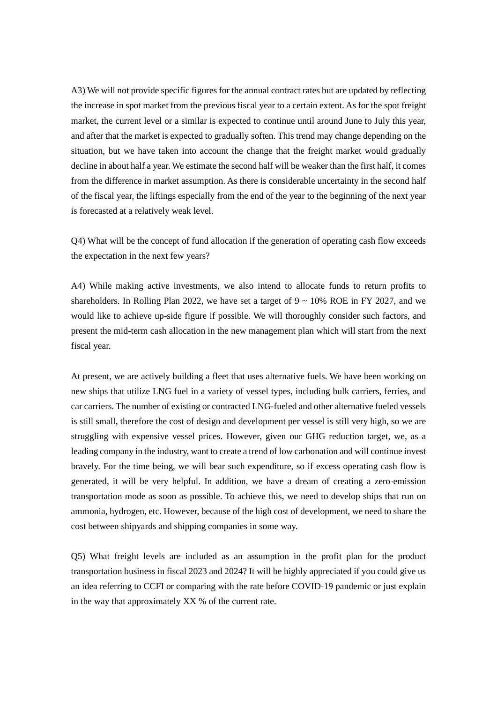A3) We will not provide specific figures for the annual contract rates but are updated by reflecting the increase in spot market from the previous fiscal year to a certain extent. As for the spot freight market, the current level or a similar is expected to continue until around June to July this year, and after that the market is expected to gradually soften. This trend may change depending on the situation, but we have taken into account the change that the freight market would gradually decline in about half a year. We estimate the second half will be weaker than the first half, it comes from the difference in market assumption. As there is considerable uncertainty in the second half of the fiscal year, the liftings especially from the end of the year to the beginning of the next year is forecasted at a relatively weak level.

Q4) What will be the concept of fund allocation if the generation of operating cash flow exceeds the expectation in the next few years?

A4) While making active investments, we also intend to allocate funds to return profits to shareholders. In Rolling Plan 2022, we have set a target of  $9 \sim 10\%$  ROE in FY 2027, and we would like to achieve up-side figure if possible. We will thoroughly consider such factors, and present the mid-term cash allocation in the new management plan which will start from the next fiscal year.

At present, we are actively building a fleet that uses alternative fuels. We have been working on new ships that utilize LNG fuel in a variety of vessel types, including bulk carriers, ferries, and car carriers. The number of existing or contracted LNG-fueled and other alternative fueled vessels is still small, therefore the cost of design and development per vessel is still very high, so we are struggling with expensive vessel prices. However, given our GHG reduction target, we, as a leading company in the industry, want to create a trend of low carbonation and will continue invest bravely. For the time being, we will bear such expenditure, so if excess operating cash flow is generated, it will be very helpful. In addition, we have a dream of creating a zero-emission transportation mode as soon as possible. To achieve this, we need to develop ships that run on ammonia, hydrogen, etc. However, because of the high cost of development, we need to share the cost between shipyards and shipping companies in some way.

Q5) What freight levels are included as an assumption in the profit plan for the product transportation business in fiscal 2023 and 2024? It will be highly appreciated if you could give us an idea referring to CCFI or comparing with the rate before COVID-19 pandemic or just explain in the way that approximately XX % of the current rate.